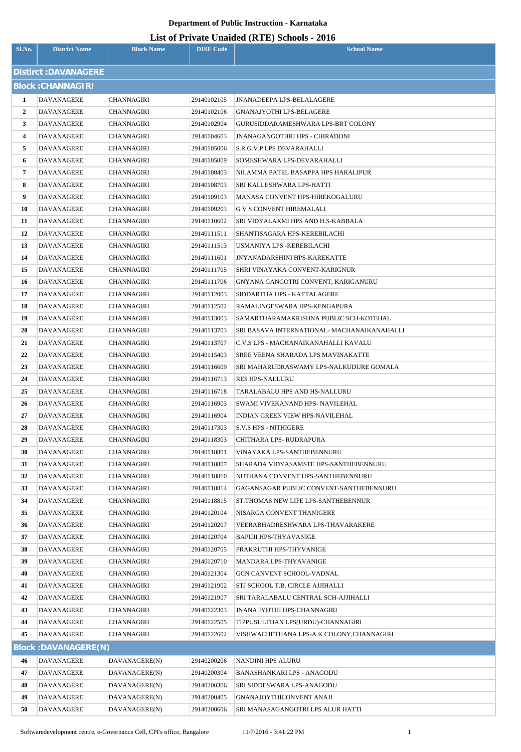| Sl.No.         | <b>District Name</b>            | <b>Block Name</b>              | <b>DISE Code</b>           | <b>School Name</b>                                                        |  |  |  |  |
|----------------|---------------------------------|--------------------------------|----------------------------|---------------------------------------------------------------------------|--|--|--|--|
|                | Distirct: DAVANAGERE            |                                |                            |                                                                           |  |  |  |  |
|                | <b>Block: CHANNAGIRI</b>        |                                |                            |                                                                           |  |  |  |  |
| 1              | DAVANAGERE                      | CHANNAGIRI                     | 29140102105                | <b>JNANADEEPA LPS-BELALAGERE</b>                                          |  |  |  |  |
| $\overline{2}$ | DAVANAGERE                      | CHANNAGIRI                     | 29140102106                | <b>GNANAJYOTHI LPS-BELAGERE</b>                                           |  |  |  |  |
| 3              | DAVANAGERE                      | CHANNAGIRI                     | 29140102904                | GURUSIDDARAMESHWARA LPS-BRT COLONY                                        |  |  |  |  |
| 4              | DAVANAGERE                      | CHANNAGIRI                     | 29140104603                | <b>JNANAGANGOTHRI HPS - CHIRADONI</b>                                     |  |  |  |  |
| 5              | DAVANAGERE                      | CHANNAGIRI                     | 29140105006                | S.R.G.V.P LPS DEVARAHALLI                                                 |  |  |  |  |
| 6              | DAVANAGERE                      | CHANNAGIRI                     | 29140105009                | SOMESHWARA LPS-DEVARAHALLI                                                |  |  |  |  |
| 7              | DAVANAGERE                      | CHANNAGIRI                     | 29140108403                | NILAMMA PATEL BASAPPA HPS HARALIPUR                                       |  |  |  |  |
| 8              | DAVANAGERE                      | CHANNAGIRI                     | 29140108703                | SRI KALLESHWARA LPS-HATTI                                                 |  |  |  |  |
| 9              | DAVANAGERE                      | CHANNAGIRI                     | 29140109103                | MANASA CONVENT HPS-HIREKOGALURU                                           |  |  |  |  |
| 10             | DAVANAGERE                      | CHANNAGIRI                     | 29140109203                | <b>G V S CONVENT HIREMALALI</b>                                           |  |  |  |  |
| 11             | DAVANAGERE                      | CHANNAGIRI                     | 29140110602                | SRI VIDYALAXMI HPS AND H.S-KABBALA                                        |  |  |  |  |
| 12             | DAVANAGERE                      | CHANNAGIRI                     | 29140111511                | SHANTISAGARA HPS-KEREBILACHI                                              |  |  |  |  |
| 13             | DAVANAGERE                      | CHANNAGIRI                     | 29140111513                | USMANIYA LPS -KEREBILACHI                                                 |  |  |  |  |
| 14             | DAVANAGERE                      | CHANNAGIRI                     | 29140111601                | JNYANADARSHINI HPS-KAREKATTE                                              |  |  |  |  |
| 15             | DAVANAGERE                      | CHANNAGIRI                     | 29140111705                | SHRI VINAYAKA CONVENT-KARIGNUR                                            |  |  |  |  |
| 16             | DAVANAGERE                      | CHANNAGIRI                     | 29140111706                | GNYANA GANGOTRI CONVENT, KARIGANURU                                       |  |  |  |  |
| 17             | DAVANAGERE                      | CHANNAGIRI                     | 29140112003                | SIDDARTHA HPS - KATTALAGERE                                               |  |  |  |  |
| 18             | DAVANAGERE                      | CHANNAGIRI                     | 29140112502                | RAMALINGESWARA HPS-KENGAPURA                                              |  |  |  |  |
| 19             | DAVANAGERE                      | CHANNAGIRI                     | 29140113003                | SAMARTHARAMAKRISHNA PUBLIC SCH-KOTEHAL                                    |  |  |  |  |
| 20             | DAVANAGERE                      | CHANNAGIRI                     | 29140113703                | SRI BASAVA INTERNATIONAL- MACHANAIKANAHALLI                               |  |  |  |  |
| 21             | <b>DAVANAGERE</b>               | CHANNAGIRI                     | 29140113707                | C.V.S LPS - MACHANAIKANAHALLI KAVALU                                      |  |  |  |  |
| 22             | DAVANAGERE                      | CHANNAGIRI                     | 29140115403                | SREE VEENA SHARADA LPS MAVINAKATTE                                        |  |  |  |  |
| 23             | <b>DAVANAGERE</b>               | CHANNAGIRI                     | 29140116609                | SRI MAHARUDRASWAMY LPS-NALKUDURE GOMALA                                   |  |  |  |  |
| 24             | DAVANAGERE                      | CHANNAGIRI                     | 29140116713                | <b>RES HPS-NALLURU</b>                                                    |  |  |  |  |
| 25             | DAVANAGERE                      | CHANNAGIRI                     | 29140116718                | TARALABALU HPS AND HS-NALLURU                                             |  |  |  |  |
| 26             | DAVANAGERE                      | CHANNAGIRI                     | 29140116903                | SWAMI VIVEKANAND HPS- NAVILEHAL<br><b>INDIAN GREEN VIEW HPS-NAVILEHAL</b> |  |  |  |  |
| 27<br>28       | <b>DAVANAGERE</b><br>DAVANAGERE | CHANNAGIRI<br>CHANNAGIRI       | 29140116904<br>29140117303 | <b>S.V.S HPS - NITHIGERE</b>                                              |  |  |  |  |
| 29             | DAVANAGERE                      | CHANNAGIRI                     | 29140118303                | CHITHARA LPS-RUDRAPURA                                                    |  |  |  |  |
| 30             | DAVANAGERE                      | CHANNAGIRI                     | 29140118801                | VINAYAKA LPS-SANTHEBENNURU                                                |  |  |  |  |
| 31             | <b>DAVANAGERE</b>               | CHANNAGIRI                     | 29140118807                | SHARADA VIDYASAMSTE HPS-SANTHEBENNURU                                     |  |  |  |  |
| 32             | DAVANAGERE                      | CHANNAGIRI                     | 29140118810                | NUTHANA CONVENT HPS-SANTHEBENNURU                                         |  |  |  |  |
| 33             | <b>DAVANAGERE</b>               | CHANNAGIRI                     | 29140118814                | GAGANSAGAR PUBLIC CONVENT-SANTHEBENNURU                                   |  |  |  |  |
| 34             | DAVANAGERE                      | CHANNAGIRI                     | 29140118815                | ST.THOMAS NEW LIFE LPS-SANTHEBENNUR                                       |  |  |  |  |
| 35             | <b>DAVANAGERE</b>               | CHANNAGIRI                     | 29140120104                | NISARGA CONVENT THANIGERE                                                 |  |  |  |  |
| 36             | DAVANAGERE                      | CHANNAGIRI                     | 29140120207                | VEERABHADRESHWARA LPS-THAVARAKERE                                         |  |  |  |  |
| 37             | DAVANAGERE                      | CHANNAGIRI                     | 29140120704                | BAPUJI HPS-THYAVANIGE                                                     |  |  |  |  |
| 38             | DAVANAGERE                      | CHANNAGIRI                     | 29140120705                | PRAKRUTHI HPS-THYVANIGE                                                   |  |  |  |  |
| 39             | <b>DAVANAGERE</b>               | CHANNAGIRI                     | 29140120710                | MANDARA LPS-THYAVANIGE                                                    |  |  |  |  |
| 40             | DAVANAGERE                      | CHANNAGIRI                     | 29140121304                | GCN CANVENT SCHOOL-VADNAL                                                 |  |  |  |  |
| 41             | DAVANAGERE                      | CHANNAGIRI                     | 29140121902                | STJ SCHOOL T.B. CIRCLE AJJIHALLI                                          |  |  |  |  |
| 42             | <b>DAVANAGERE</b>               | CHANNAGIRI                     | 29140121907                | SRI TARALABALU CENTRAL SCH-AJJIHALLI                                      |  |  |  |  |
| 43             | <b>DAVANAGERE</b>               | CHANNAGIRI                     | 29140122303                | JNANA JYOTHI HPS-CHANNAGIRI                                               |  |  |  |  |
| 44             | DAVANAGERE                      | CHANNAGIRI                     | 29140122505                | TIPPUSULTHAN LPS(URDU)-CHANNAGIRI                                         |  |  |  |  |
| 45             | <b>DAVANAGERE</b>               | CHANNAGIRI                     | 29140122602                | VISHWACHETHANA LPS-A.K COLONY,CHANNAGIRI                                  |  |  |  |  |
|                | Block: DAVANAGERE(N)            |                                |                            |                                                                           |  |  |  |  |
| 46             | <b>DAVANAGERE</b>               | DAVANAGERE(N)                  | 29140200206                | NANDINI HPS ALURU                                                         |  |  |  |  |
| 47             | <b>DAVANAGERE</b>               | DAVANAGERE(N)                  | 29140200304                | BANASHANKARI LPS - ANAGODU                                                |  |  |  |  |
| 48             | <b>DAVANAGERE</b>               | DAVANAGERE(N)                  | 29140200306                | SRI SIDDESWARA LPS-ANAGODU                                                |  |  |  |  |
| 49<br>50       | DAVANAGERE<br><b>DAVANAGERE</b> | DAVANAGERE(N)<br>DAVANAGERE(N) | 29140200405<br>29140200606 | GNANAJOYTHICONVENT ANAJI<br>SRI MANASAGANGOTRI LPS ALUR HATTI             |  |  |  |  |
|                |                                 |                                |                            |                                                                           |  |  |  |  |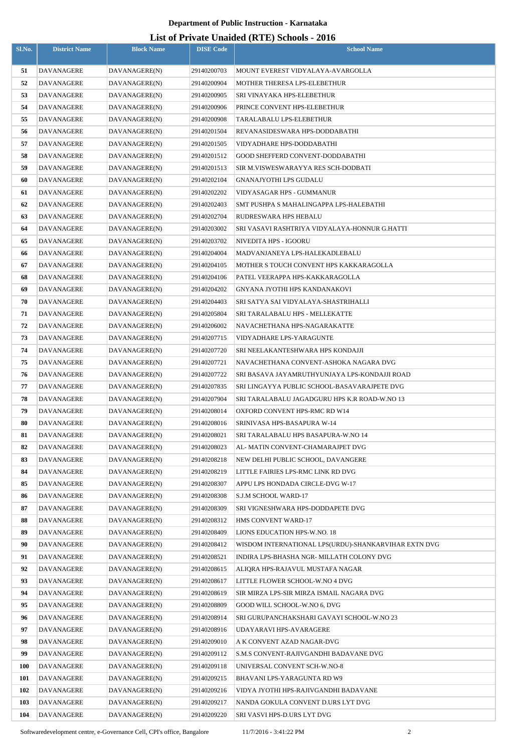|            |                          |                                |                            | LIST OF FITVALE UNAIGED (NTE) SCHOOLS - 2010                          |
|------------|--------------------------|--------------------------------|----------------------------|-----------------------------------------------------------------------|
| Sl.No.     | <b>District Name</b>     | <b>Block Name</b>              | <b>DISE Code</b>           | <b>School Name</b>                                                    |
| 51         | <b>DAVANAGERE</b>        | DAVANAGERE(N)                  | 29140200703                | MOUNT EVEREST VIDYALAYA-AVARGOLLA                                     |
| 52         | DAVANAGERE               | DAVANAGERE(N)                  | 29140200904                | MOTHER THERESA LPS-ELEBETHUR                                          |
| 53         | DAVANAGERE               | DAVANAGERE(N)                  | 29140200905                | SRI VINAYAKA HPS-ELEBETHUR                                            |
| 54         | DAVANAGERE               | DAVANAGERE(N)                  | 29140200906                | PRINCE CONVENT HPS-ELEBETHUR                                          |
| 55         | DAVANAGERE               | DAVANAGERE(N)                  | 29140200908                | TARALABALU LPS-ELEBETHUR                                              |
| 56         | DAVANAGERE               | DAVANAGERE(N)                  | 29140201504                | REVANASIDESWARA HPS-DODDABATHI                                        |
| 57         | <b>DAVANAGERE</b>        | DAVANAGERE(N)                  | 29140201505                | VIDYADHARE HPS-DODDABATHI                                             |
| 58         | <b>DAVANAGERE</b>        | DAVANAGERE(N)                  | 29140201512                | <b>GOOD SHEFFERD CONVENT-DODDABATHI</b>                               |
| 59         | DAVANAGERE               | DAVANAGERE(N)                  | 29140201513                | SIR M.VISWESWARAYYA RES SCH-DODBATI                                   |
| 60         | <b>DAVANAGERE</b>        | DAVANAGERE(N)                  | 29140202104                | <b>GNANAJYOTHI LPS GUDALU</b>                                         |
| 61         | DAVANAGERE               | DAVANAGERE(N)                  | 29140202202                | VIDYASAGAR HPS - GUMMANUR                                             |
| 62         | <b>DAVANAGERE</b>        | DAVANAGERE(N)                  | 29140202403                | SMT PUSHPA S MAHALINGAPPA LPS-HALEBATHI                               |
| 63         | DAVANAGERE               | DAVANAGERE(N)                  | 29140202704                | RUDRESWARA HPS HEBALU                                                 |
| 64         | DAVANAGERE               | DAVANAGERE(N)                  | 29140203002                | SRI VASAVI RASHTRIYA VIDYALAYA-HONNUR G.HATTI                         |
| 65         | DAVANAGERE               | DAVANAGERE(N)                  | 29140203702                | NIVEDITA HPS - IGOORU                                                 |
| 66         | DAVANAGERE               | DAVANAGERE(N)                  | 29140204004                | MADVANJANEYA LPS-HALEKADLEBALU                                        |
| 67         | <b>DAVANAGERE</b>        | DAVANAGERE(N)                  | 29140204105                | MOTHER S TOUCH CONVENT HPS KAKKARAGOLLA                               |
| 68         | DAVANAGERE               | DAVANAGERE(N)                  | 29140204106                | PATEL VEERAPPA HPS-KAKKARAGOLLA                                       |
| 69         | DAVANAGERE               | DAVANAGERE(N)                  | 29140204202                | GNYANA JYOTHI HPS KANDANAKOVI                                         |
| 70         | DAVANAGERE               | DAVANAGERE(N)                  | 29140204403                | SRI SATYA SAI VIDYALAYA-SHASTRIHALLI                                  |
| 71         | DAVANAGERE               | DAVANAGERE(N)                  | 29140205804                | SRI TARALABALU HPS - MELLEKATTE                                       |
| 72         | DAVANAGERE               | DAVANAGERE(N)                  | 29140206002                | NAVACHETHANA HPS-NAGARAKATTE                                          |
| 73         | DAVANAGERE               | DAVANAGERE(N)                  | 29140207715                | VIDYADHARE LPS-YARAGUNTE                                              |
| 74         | DAVANAGERE               | DAVANAGERE(N)                  | 29140207720                | SRI NEELAKANTESHWARA HPS KONDAJJI                                     |
| 75         | DAVANAGERE               | DAVANAGERE(N)                  | 29140207721                | NAVACHETHANA CONVENT-ASHOKA NAGARA DVG                                |
| 76         | DAVANAGERE               | DAVANAGERE(N)                  | 29140207722                | SRI BASAVA JAYAMRUTHYUNJAYA LPS-KONDAJJI ROAD                         |
| 77         | <b>DAVANAGERE</b>        | DAVANAGERE(N)                  | 29140207835                | SRI LINGAYYA PUBLIC SCHOOL-BASAVARAJPETE DVG                          |
| 78         | DAVANAGERE               | DAVANAGERE(N)                  | 29140207904                | SRI TARALABALU JAGADGURU HPS K.R ROAD-W.NO 13                         |
| 79         | DAVANAGERE               | DAVANAGERE(N)                  | 29140208014                | OXFORD CONVENT HPS-RMC RD W14                                         |
| 80         | DAVANAGERE               | DAVANAGERE(N)                  | 29140208016                | SRINIVASA HPS-BASAPURA W-14                                           |
| 81         | DAVANAGERE               | DAVANAGERE(N)                  | 29140208021                | SRI TARALABALU HPS BASAPURA-W.NO 14                                   |
| 82         | DAVANAGERE               | DAVANAGERE(N)                  | 29140208023                | AL- MATIN CONVENT-CHAMARAJPET DVG                                     |
| 83         | <b>DAVANAGERE</b>        | DAVANAGERE(N)                  | 29140208218                | NEW DELHI PUBLIC SCHOOL. DAVANGERE                                    |
| 84         | DAVANAGERE               | DAVANAGERE(N)                  | 29140208219                | LITTLE FAIRIES LPS-RMC LINK RD DVG                                    |
| 85         | DAVANAGERE               | DAVANAGERE(N)                  | 29140208307                | APPU LPS HONDADA CIRCLE-DVG W-17                                      |
| 86         | <b>DAVANAGERE</b>        | DAVANAGERE(N)                  | 29140208308                | S.J.M SCHOOL WARD-17                                                  |
| 87         | DAVANAGERE               | DAVANAGERE(N)                  | 29140208309                | SRI VIGNESHWARA HPS-DODDAPETE DVG                                     |
| 88         | <b>DAVANAGERE</b>        | DAVANAGERE(N)                  | 29140208312                | HMS CONVENT WARD-17                                                   |
| 89         | DAVANAGERE               | DAVANAGERE(N)                  | 29140208409                | LIONS EDUCATION HPS-W.NO. 18                                          |
| 90         | DAVANAGERE               | DAVANAGERE(N)                  | 29140208412                | WISDOM INTERNATIONAL LPS(URDU)-SHANKARVIHAR EXTN DVG                  |
| 91         | DAVANAGERE               | DAVANAGERE(N)                  | 29140208521                | INDIRA LPS-BHASHA NGR- MILLATH COLONY DVG                             |
| 92         | DAVANAGERE               | DAVANAGERE(N)                  | 29140208615                | ALIQRA HPS-RAJAVUL MUSTAFA NAGAR                                      |
| 93         | DAVANAGERE               | DAVANAGERE(N)                  | 29140208617                | LITTLE FLOWER SCHOOL-W.NO 4 DVG                                       |
| 94         | DAVANAGERE               | DAVANAGERE(N)                  | 29140208619                | SIR MIRZA LPS-SIR MIRZA ISMAIL NAGARA DVG                             |
| 95         | DAVANAGERE               | DAVANAGERE(N)                  | 29140208809                | GOOD WILL SCHOOL-W.NO 6, DVG                                          |
| 96<br>97   | DAVANAGERE<br>DAVANAGERE | DAVANAGERE(N)<br>DAVANAGERE(N) | 29140208914<br>29140208916 | SRI GURUPANCHAKSHARI GAVAYI SCHOOL-W.NO 23<br>UDAYARAVI HPS-AVARAGERE |
| 98         | DAVANAGERE               | DAVANAGERE(N)                  | 29140209010                | A K CONVENT AZAD NAGAR-DVG                                            |
| 99         | DAVANAGERE               | DAVANAGERE(N)                  | 29140209112                | S.M.S CONVENT-RAJIVGANDHI BADAVANE DVG                                |
| <b>100</b> | <b>DAVANAGERE</b>        | DAVANAGERE(N)                  | 29140209118                | UNIVERSAL CONVENT SCH-W.NO-8                                          |
| 101        | DAVANAGERE               | DAVANAGERE(N)                  | 29140209215                | BHAVANI LPS-YARAGUNTA RD W9                                           |
| 102        | DAVANAGERE               | DAVANAGERE(N)                  | 29140209216                | VIDYA JYOTHI HPS-RAJIVGANDHI BADAVANE                                 |
| 103        | DAVANAGERE               | DAVANAGERE(N)                  | 29140209217                | NANDA GOKULA CONVENT D.URS LYT DVG                                    |
| 104        | DAVANAGERE               | DAVANAGERE(N)                  | 29140209220                | SRI VASVI HPS-D.URS LYT DVG                                           |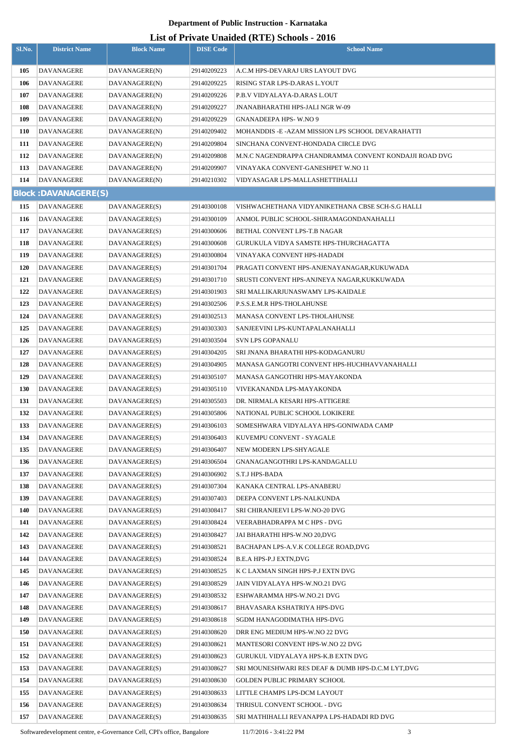## **List of Private Unaided (RTE) Schools - 2016**

| Sl.No. | <b>District Name</b>        | <b>Block Name</b> | <b>DISE Code</b> | $\frac{1}{2}$ of TH are character $\frac{1}{2}$ ochools $\frac{1}{2}$<br><b>School Name</b> |
|--------|-----------------------------|-------------------|------------------|---------------------------------------------------------------------------------------------|
| 105    | DAVANAGERE                  | DAVANAGERE(N)     | 29140209223      | A.C.M HPS-DEVARAJ URS LAYOUT DVG                                                            |
| 106    | <b>DAVANAGERE</b>           | DAVANAGERE(N)     | 29140209225      | RISING STAR LPS-D.ARAS L.YOUT                                                               |
| 107    | DAVANAGERE                  | DAVANAGERE(N)     | 29140209226      | P.B.V VIDYALAYA-D.ARAS L.OUT                                                                |
| 108    | DAVANAGERE                  | DAVANAGERE(N)     | 29140209227      | JNANABHARATHI HPS-JALI NGR W-09                                                             |
| 109    | <b>DAVANAGERE</b>           | DAVANAGERE(N)     | 29140209229      | <b>GNANADEEPA HPS-W.NO 9</b>                                                                |
| 110    | DAVANAGERE                  | DAVANAGERE(N)     | 29140209402      | MOHANDDIS - E - AZAM MISSION LPS SCHOOL DEVARAHATTI                                         |
| 111    | DAVANAGERE                  | DAVANAGERE(N)     | 29140209804      | SINCHANA CONVENT-HONDADA CIRCLE DVG                                                         |
| 112    | <b>DAVANAGERE</b>           | DAVANAGERE(N)     | 29140209808      | M.N.C NAGENDRAPPA CHANDRAMMA CONVENT KONDAJJI ROAD DVG                                      |
| 113    | DAVANAGERE                  | DAVANAGERE(N)     | 29140209907      | VINAYAKA CONVENT-GANESHPET W.NO 11                                                          |
| 114    | DAVANAGERE                  | DAVANAGERE(N)     | 29140210302      | VIDYASAGAR LPS-MALLASHETTIHALLI                                                             |
|        | <b>Block: DAVANAGERE(S)</b> |                   |                  |                                                                                             |
| 115    | DAVANAGERE                  | DAVANAGERE(S)     | 29140300108      | VISHWACHETHANA VIDYANIKETHANA CBSE SCH-S.G HALLI                                            |
| 116    | DAVANAGERE                  | DAVANAGERE(S)     | 29140300109      | ANMOL PUBLIC SCHOOL-SHIRAMAGONDANAHALLI                                                     |
| 117    | DAVANAGERE                  | DAVANAGERE(S)     | 29140300606      | BETHAL CONVENT LPS-T.B NAGAR                                                                |
| 118    | <b>DAVANAGERE</b>           | DAVANAGERE(S)     | 29140300608      | GURUKULA VIDYA SAMSTE HPS-THURCHAGATTA                                                      |
| 119    | DAVANAGERE                  | DAVANAGERE(S)     | 29140300804      | VINAYAKA CONVENT HPS-HADADI                                                                 |
| 120    | DAVANAGERE                  | DAVANAGERE(S)     | 29140301704      | PRAGATI CONVENT HPS-ANJENAYANAGAR,KUKUWADA                                                  |
| 121    | DAVANAGERE                  | DAVANAGERE(S)     | 29140301710      | SRUSTI CONVENT HPS-ANJNEYA NAGAR,KUKKUWADA                                                  |
| 122    | DAVANAGERE                  | DAVANAGERE(S)     | 29140301903      | SRI MALLIKARJUNASWAMY LPS-KAIDALE                                                           |
| 123    | DAVANAGERE                  | DAVANAGERE(S)     | 29140302506      | P.S.S.E.M.R HPS-THOLAHUNSE                                                                  |
| 124    | DAVANAGERE                  | DAVANAGERE(S)     | 29140302513      | MANASA CONVENT LPS-THOLAHUNSE                                                               |
| 125    | DAVANAGERE                  | DAVANAGERE(S)     | 29140303303      | SANJEEVINI LPS-KUNTAPALANAHALLI                                                             |
| 126    | DAVANAGERE                  | DAVANAGERE(S)     | 29140303504      | SVN LPS GOPANALU                                                                            |
| 127    | DAVANAGERE                  | DAVANAGERE(S)     | 29140304205      | SRI JNANA BHARATHI HPS-KODAGANURU                                                           |
| 128    | DAVANAGERE                  | DAVANAGERE(S)     | 29140304905      | MANASA GANGOTRI CONVENT HPS-HUCHHAVVANAHALLI                                                |
| 129    | DAVANAGERE                  | DAVANAGERE(S)     | 29140305107      | MANASA GANGOTHRI HPS-MAYAKONDA                                                              |
| 130    | <b>DAVANAGERE</b>           | DAVANAGERE(S)     | 29140305110      | VIVEKANANDA LPS-MAYAKONDA                                                                   |
| 131    | DAVANAGERE                  | DAVANAGERE(S)     | 29140305503      | DR. NIRMALA KESARI HPS-ATTIGERE                                                             |
| 132    | <b>DAVANAGERE</b>           | DAVANAGERE(S)     | 29140305806      | NATIONAL PUBLIC SCHOOL LOKIKERE                                                             |
| 133    | DAVANAGERE                  | DAVANAGERE(S)     | 29140306103      | SOMESHWARA VIDYALAYA HPS-GONIWADA CAMP                                                      |
| 134    | DAVANAGERE                  | DAVANAGERE(S)     | 29140306403      | KUVEMPU CONVENT - SYAGALE                                                                   |
| 135    | DAVANAGERE                  | DAVANAGERE(S)     | 29140306407      | NEW MODERN LPS-SHYAGALE                                                                     |
| 136    | <b>DAVANAGERE</b>           | DAVANAGERE(S)     | 29140306504      | GNANAGANGOTHRI LPS-KANDAGALLU                                                               |
| 137    | <b>DAVANAGERE</b>           | DAVANAGERE(S)     | 29140306902      | S.T.J HPS-BADA                                                                              |
| 138    | DAVANAGERE                  | DAVANAGERE(S)     | 29140307304      | KANAKA CENTRAL LPS-ANABERU                                                                  |
| 139    | DAVANAGERE                  | DAVANAGERE(S)     | 29140307403      | DEEPA CONVENT LPS-NALKUNDA                                                                  |
| 140    | DAVANAGERE                  | DAVANAGERE(S)     | 29140308417      | SRI CHIRANJEEVI LPS-W.NO-20 DVG                                                             |
| 141    | DAVANAGERE                  | DAVANAGERE(S)     | 29140308424      | VEERABHADRAPPA M C HPS - DVG                                                                |
| 142    | DAVANAGERE                  | DAVANAGERE(S)     | 29140308427      | JAI BHARATHI HPS-W.NO 20,DVG                                                                |
| 143    | DAVANAGERE                  | DAVANAGERE(S)     | 29140308521      | BACHAPAN LPS-A.V.K COLLEGE ROAD,DVG                                                         |
| 144    | DAVANAGERE                  | DAVANAGERE(S)     | 29140308524      | B.E.A HPS-P.J EXTN,DVG                                                                      |
| 145    | DAVANAGERE                  | DAVANAGERE(S)     | 29140308525      | K C LAXMAN SINGH HPS-P.J EXTN DVG                                                           |
| 146    | DAVANAGERE                  | DAVANAGERE(S)     | 29140308529      | JAIN VIDYALAYA HPS-W.NO.21 DVG                                                              |
| 147    | DAVANAGERE                  | DAVANAGERE(S)     | 29140308532      | ESHWARAMMA HPS-W.NO.21 DVG                                                                  |
| 148    | DAVANAGERE                  | DAVANAGERE(S)     | 29140308617      | BHAVASARA KSHATRIYA HPS-DVG                                                                 |
| 149    | DAVANAGERE                  | DAVANAGERE(S)     | 29140308618      | SGDM HANAGODIMATHA HPS-DVG                                                                  |
| 150    | DAVANAGERE                  | DAVANAGERE(S)     | 29140308620      | DRR ENG MEDIUM HPS-W.NO 22 DVG                                                              |
| 151    | DAVANAGERE                  | DAVANAGERE(S)     | 29140308621      | MANTESORI CONVENT HPS-W.NO 22 DVG                                                           |
| 152    | DAVANAGERE                  | DAVANAGERE(S)     | 29140308623      | GURUKUL VIDYALAYA HPS-K.B EXTN DVG                                                          |
| 153    | DAVANAGERE                  | DAVANAGERE(S)     | 29140308627      | SRI MOUNESHWARI RES DEAF & DUMB HPS-D.C.M LYT,DVG                                           |
| 154    | DAVANAGERE                  | DAVANAGERE(S)     | 29140308630      | GOLDEN PUBLIC PRIMARY SCHOOL                                                                |
| 155    | DAVANAGERE                  | DAVANAGERE(S)     | 29140308633      | LITTLE CHAMPS LPS-DCM LAYOUT                                                                |
| 156    | DAVANAGERE                  | DAVANAGERE(S)     | 29140308634      | THRISUL CONVENT SCHOOL - DVG                                                                |
| 157    | DAVANAGERE                  | DAVANAGERE(S)     | 29140308635      | SRI MATHIHALLI REVANAPPA LPS-HADADI RD DVG                                                  |

Softwaredevelopment centre, e-Governance Cell, CPI's office, Bangalore 11/7/2016 - 3:41:22 PM 3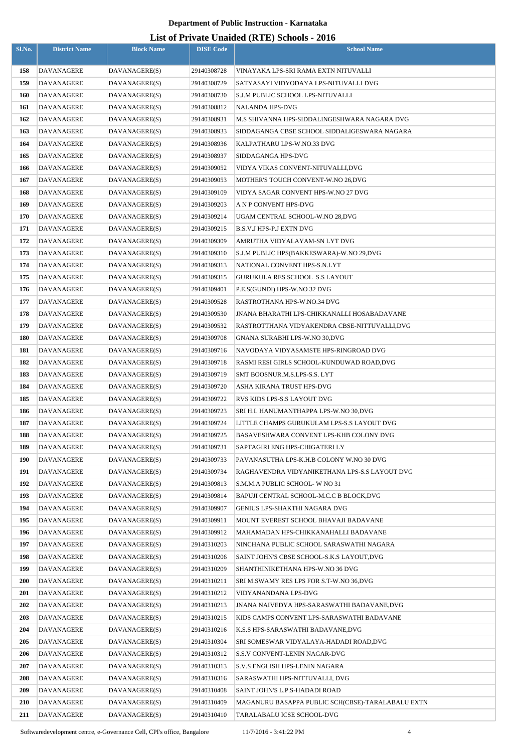|            |                                 |                                |                            | LISt of Frivate Unanged (NTE) SCHOOLS - 2010                                        |
|------------|---------------------------------|--------------------------------|----------------------------|-------------------------------------------------------------------------------------|
| Sl.No.     | <b>District Name</b>            | <b>Block Name</b>              | <b>DISE Code</b>           | <b>School Name</b>                                                                  |
| 158        | <b>DAVANAGERE</b>               | DAVANAGERE(S)                  | 29140308728                | VINAYAKA LPS-SRI RAMA EXTN NITUVALLI                                                |
| 159        | <b>DAVANAGERE</b>               | DAVANAGERE(S)                  | 29140308729                | SATYASAYI VIDYODAYA LPS-NITUVALLI DVG                                               |
| 160        | DAVANAGERE                      | DAVANAGERE(S)                  | 29140308730                | S.J.M PUBLIC SCHOOL LPS-NITUVALLI                                                   |
| 161        | DAVANAGERE                      | DAVANAGERE(S)                  | 29140308812                | NALANDA HPS-DVG                                                                     |
| 162        | DAVANAGERE                      | DAVANAGERE(S)                  | 29140308931                | M.S SHIVANNA HPS-SIDDALINGESHWARA NAGARA DVG                                        |
| 163        | <b>DAVANAGERE</b>               | DAVANAGERE(S)                  | 29140308933                | SIDDAGANGA CBSE SCHOOL SIDDALIGESWARA NAGARA                                        |
| 164        | DAVANAGERE                      | DAVANAGERE(S)                  | 29140308936                | KALPATHARU LPS-W.NO.33 DVG                                                          |
| 165        | <b>DAVANAGERE</b>               | DAVANAGERE(S)                  | 29140308937                | SIDDAGANGA HPS-DVG                                                                  |
| 166        | DAVANAGERE                      | DAVANAGERE(S)                  | 29140309052                | VIDYA VIKAS CONVENT-NITUVALLI,DVG                                                   |
| 167        | <b>DAVANAGERE</b>               | DAVANAGERE(S)                  | 29140309053                | MOTHER'S TOUCH CONVENT-W.NO 26,DVG                                                  |
| 168        | DAVANAGERE                      | DAVANAGERE(S)                  | 29140309109                | VIDYA SAGAR CONVENT HPS-W.NO 27 DVG                                                 |
| 169        | <b>DAVANAGERE</b>               | DAVANAGERE(S)                  | 29140309203                | A N P CONVENT HPS-DVG                                                               |
| 170        | <b>DAVANAGERE</b>               | DAVANAGERE(S)                  | 29140309214                | UGAM CENTRAL SCHOOL-W.NO 28,DVG                                                     |
| 171        | DAVANAGERE                      | DAVANAGERE(S)                  | 29140309215                | B.S.V.J HPS-P.J EXTN DVG                                                            |
| 172        | DAVANAGERE                      | DAVANAGERE(S)                  | 29140309309                | AMRUTHA VIDYALAYAM-SN LYT DVG                                                       |
| 173        | DAVANAGERE                      | DAVANAGERE(S)                  | 29140309310                | S.J.M PUBLIC HPS(BAKKESWARA)-W.NO 29,DVG                                            |
| 174        | DAVANAGERE                      | DAVANAGERE(S)                  | 29140309313                | NATIONAL CONVENT HPS-S.N.LYT                                                        |
| 175        | DAVANAGERE                      | DAVANAGERE(S)                  | 29140309315                | GURUKULA RES SCHOOL S.S LAYOUT                                                      |
| 176        | DAVANAGERE                      | DAVANAGERE(S)                  | 29140309401                | P.E.S(GUNDI) HPS-W.NO 32 DVG                                                        |
| 177        | DAVANAGERE                      | DAVANAGERE(S)                  | 29140309528                | RASTROTHANA HPS-W.NO.34 DVG                                                         |
| 178        | DAVANAGERE                      | DAVANAGERE(S)                  | 29140309530                | JNANA BHARATHI LPS-CHIKKANALLI HOSABADAVANE                                         |
| 179        | DAVANAGERE                      | DAVANAGERE(S)                  | 29140309532                | RASTROTTHANA VIDYAKENDRA CBSE-NITTUVALLI,DVG                                        |
| 180        | DAVANAGERE                      | DAVANAGERE(S)                  | 29140309708                | GNANA SURABHI LPS-W.NO 30,DVG                                                       |
| 181        | DAVANAGERE                      | DAVANAGERE(S)                  | 29140309716                | NAVODAYA VIDYASAMSTE HPS-RINGROAD DVG                                               |
| 182        | DAVANAGERE                      | DAVANAGERE(S)                  | 29140309718                | RASMI RESI GIRLS SCHOOL-KUNDUWAD ROAD,DVG                                           |
| 183        | DAVANAGERE                      | DAVANAGERE(S)                  | 29140309719                | SMT BOOSNUR.M.S.LPS-S.S. LYT                                                        |
| 184        | DAVANAGERE                      | DAVANAGERE(S)                  | 29140309720                | ASHA KIRANA TRUST HPS-DVG                                                           |
| 185        | <b>DAVANAGERE</b>               | DAVANAGERE(S)                  | 29140309722                | RVS KIDS LPS-S.S LAYOUT DVG                                                         |
| 186        | DAVANAGERE                      | DAVANAGERE(S)                  | 29140309723                | SRI H.L HANUMANTHAPPA LPS-W.NO 30,DVG                                               |
| 187        | DAVANAGERE                      | DAVANAGERE(S)                  | 29140309724                | LITTLE CHAMPS GURUKULAM LPS-S.S LAYOUT DVG                                          |
| 188        | <b>DAVANAGERE</b>               | DAVANAGERE(S)                  | 29140309725                | BASAVESHWARA CONVENT LPS-KHB COLONY DVG                                             |
| 189        | DAVANAGERE                      | DAVANAGERE(S)                  | 29140309731                | SAPTAGIRI ENG HPS-CHIGATERI LY                                                      |
| 190        | <b>DAVANAGERE</b>               | DAVANAGERE(S)                  | 29140309733                | PAVANASUTHA LPS-K.H.B COLONY W.NO 30 DVG                                            |
| 191        | DAVANAGERE                      | DAVANAGERE(S)                  | 29140309734                | RAGHAVENDRA VIDYANIKETHANA LPS-S.S LAYOUT DVG                                       |
| 192        | <b>DAVANAGERE</b>               | DAVANAGERE(S)                  | 29140309813                | S.M.M.A PUBLIC SCHOOL- W NO 31                                                      |
| 193        | DAVANAGERE                      | DAVANAGERE(S)                  | 29140309814                | BAPUJI CENTRAL SCHOOL-M.C.C B BLOCK,DVG                                             |
| 194        | DAVANAGERE                      | DAVANAGERE(S)                  | 29140309907                | GENIUS LPS-SHAKTHI NAGARA DVG                                                       |
| 195        | DAVANAGERE                      | DAVANAGERE(S)                  | 29140309911                | MOUNT EVEREST SCHOOL BHAVAJI BADAVANE                                               |
| 196        | DAVANAGERE                      | DAVANAGERE(S)                  | 29140309912                | MAHAMADAN HPS-CHIKKANAHALLI BADAVANE                                                |
| 197        | DAVANAGERE                      | DAVANAGERE(S)                  | 29140310203                | NINCHANA PUBLIC SCHOOL SARASWATHI NAGARA                                            |
| 198        | DAVANAGERE                      | DAVANAGERE(S)                  | 29140310206                | SAINT JOHN'S CBSE SCHOOL-S.K.S LAYOUT,DVG                                           |
| 199        | DAVANAGERE                      | DAVANAGERE(S)                  | 29140310209                | SHANTHINIKETHANA HPS-W.NO 36 DVG                                                    |
| <b>200</b> | DAVANAGERE                      | DAVANAGERE(S)                  | 29140310211                | SRI M.SWAMY RES LPS FOR S.T-W.NO 36,DVG                                             |
| <b>201</b> | DAVANAGERE                      | DAVANAGERE(S)                  | 29140310212                | VIDYANANDANA LPS-DVG                                                                |
| 202        | DAVANAGERE                      | DAVANAGERE(S)                  | 29140310213                | JNANA NAIVEDYA HPS-SARASWATHI BADAVANE,DVG                                          |
| 203        | DAVANAGERE                      | DAVANAGERE(S)                  | 29140310215                | KIDS CAMPS CONVENT LPS-SARASWATHI BADAVANE                                          |
| 204        | DAVANAGERE                      | DAVANAGERE(S)                  | 29140310216                | K.S.S HPS-SARASWATHI BADAVANE,DVG                                                   |
| 205        | DAVANAGERE                      | DAVANAGERE(S)                  | 29140310304                | SRI SOMESWAR VIDYALAYA-HADADI ROAD,DVG                                              |
| 206        | DAVANAGERE                      | DAVANAGERE(S)                  | 29140310312                | S.S.V CONVENT-LENIN NAGAR-DVG                                                       |
| 207        | DAVANAGERE                      | DAVANAGERE(S)                  | 29140310313                | S.V.S ENGLISH HPS-LENIN NAGARA                                                      |
| 208        | DAVANAGERE                      | DAVANAGERE(S)                  | 29140310316                | SARASWATHI HPS-NITTUVALLI, DVG                                                      |
| 209<br>210 | <b>DAVANAGERE</b>               | DAVANAGERE(S)                  | 29140310408<br>29140310409 | SAINT JOHN'S L.P.S-HADADI ROAD<br>MAGANURU BASAPPA PUBLIC SCH(CBSE)-TARALABALU EXTN |
| 211        | DAVANAGERE<br><b>DAVANAGERE</b> | DAVANAGERE(S)<br>DAVANAGERE(S) | 29140310410                | TARALABALU ICSE SCHOOL-DVG                                                          |
|            |                                 |                                |                            |                                                                                     |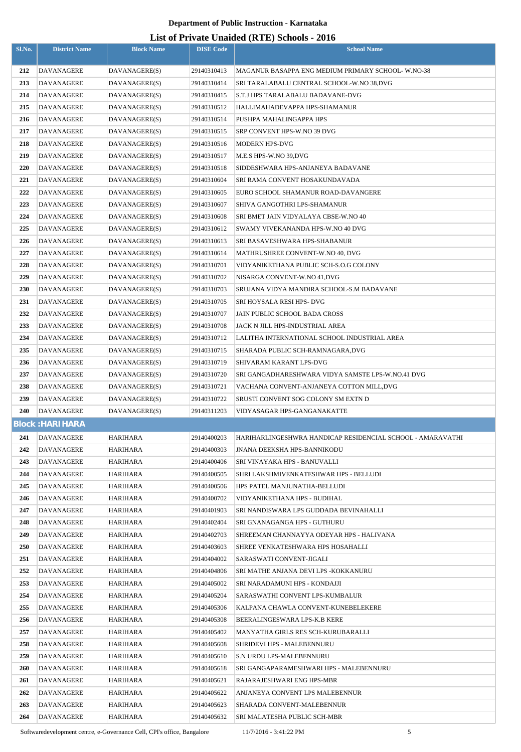## **List of Private Unaided (RTE) Schools - 2016**

|            |                                 |                      |                            | LIST OF FITVALE UNAIGER (INTER) SCHOOLS - 2010             |
|------------|---------------------------------|----------------------|----------------------------|------------------------------------------------------------|
| Sl.No.     | <b>District Name</b>            | <b>Block Name</b>    | <b>DISE Code</b>           | <b>School Name</b>                                         |
| 212        | <b>DAVANAGERE</b>               | DAVANAGERE(S)        | 29140310413                | <b>MAGANUR BASAPPA ENG MEDIUM PRIMARY SCHOOL-W.NO-38</b>   |
| 213        | DAVANAGERE                      | DAVANAGERE(S)        | 29140310414                | SRI TARALABALU CENTRAL SCHOOL-W.NO 38.DVG                  |
| 214        | DAVANAGERE                      | DAVANAGERE(S)        | 29140310415                | S.T.J HPS TARALABALU BADAVANE-DVG                          |
| 215        | DAVANAGERE                      | DAVANAGERE(S)        | 29140310512                | HALLIMAHADEVAPPA HPS-SHAMANUR                              |
| 216        | DAVANAGERE                      | DAVANAGERE(S)        | 29140310514                | PUSHPA MAHALINGAPPA HPS                                    |
| 217        | <b>DAVANAGERE</b>               | DAVANAGERE(S)        | 29140310515                | SRP CONVENT HPS-W.NO 39 DVG                                |
| 218        | DAVANAGERE                      | DAVANAGERE(S)        | 29140310516                | MODERN HPS-DVG                                             |
| 219        | DAVANAGERE                      | DAVANAGERE(S)        | 29140310517                | M.E.S HPS-W.NO 39,DVG                                      |
| 220        | DAVANAGERE                      | DAVANAGERE(S)        | 29140310518                | SIDDESHWARA HPS-ANJANEYA BADAVANE                          |
| 221        | DAVANAGERE                      | DAVANAGERE(S)        | 29140310604                | SRI RAMA CONVENT HOSAKUNDAVADA                             |
| 222        | DAVANAGERE                      | DAVANAGERE(S)        | 29140310605                | EURO SCHOOL SHAMANUR ROAD-DAVANGERE                        |
| 223        | <b>DAVANAGERE</b>               | DAVANAGERE(S)        | 29140310607                | SHIVA GANGOTHRI LPS-SHAMANUR                               |
| 224        | <b>DAVANAGERE</b>               | DAVANAGERE(S)        | 29140310608                | SRI BMET JAIN VIDYALAYA CBSE-W.NO 40                       |
| 225        | <b>DAVANAGERE</b>               | DAVANAGERE(S)        | 29140310612                | SWAMY VIVEKANANDA HPS-W.NO 40 DVG                          |
| 226        | <b>DAVANAGERE</b>               | DAVANAGERE(S)        | 29140310613                | SRI BASAVESHWARA HPS-SHABANUR                              |
| 227        | DAVANAGERE                      | DAVANAGERE(S)        | 29140310614                | MATHRUSHREE CONVENT-W.NO 40, DVG                           |
| 228        | DAVANAGERE                      | DAVANAGERE(S)        | 29140310701                | VIDYANIKETHANA PUBLIC SCH-S.O.G COLONY                     |
| 229        | DAVANAGERE                      | DAVANAGERE(S)        | 29140310702                | NISARGA CONVENT-W.NO 41,DVG                                |
| 230        | DAVANAGERE                      | DAVANAGERE(S)        | 29140310703                | SRUJANA VIDYA MANDIRA SCHOOL-S.M BADAVANE                  |
| 231        | DAVANAGERE                      | DAVANAGERE(S)        | 29140310705                | SRI HOYSALA RESI HPS- DVG                                  |
| 232        | DAVANAGERE                      | DAVANAGERE(S)        | 29140310707                | JAIN PUBLIC SCHOOL BADA CROSS                              |
| 233        | DAVANAGERE                      | DAVANAGERE(S)        | 29140310708                | JACK N JILL HPS-INDUSTRIAL AREA                            |
| 234        | DAVANAGERE                      | DAVANAGERE(S)        | 29140310712                | LALITHA INTERNATIONAL SCHOOL INDUSTRIAL AREA               |
| 235        | DAVANAGERE                      | DAVANAGERE(S)        | 29140310715                | SHARADA PUBLIC SCH-RAMNAGARA,DVG                           |
| 236        | DAVANAGERE                      | DAVANAGERE(S)        | 29140310719                | SHIVARAM KARANT LPS-DVG                                    |
| 237        | DAVANAGERE                      | DAVANAGERE(S)        | 29140310720                | SRI GANGADHARESHWARA VIDYA SAMSTE LPS-W.NO.41 DVG          |
| 238        | DAVANAGERE                      | DAVANAGERE(S)        | 29140310721                | VACHANA CONVENT-ANJANEYA COTTON MILL,DVG                   |
| 239        | <b>DAVANAGERE</b>               | DAVANAGERE(S)        | 29140310722                | SRUSTI CONVENT SOG COLONY SM EXTN D                        |
| <b>240</b> | DAVANAGERE                      | DAVANAGERE(S)        | 29140311203                | VIDYASAGAR HPS-GANGANAKATTE                                |
|            | <b>Block: HARI HARA</b>         |                      |                            |                                                            |
| 241        | <b>DAVANAGERE</b>               | HARIHARA             | 29140400203                | HARIHARLINGESHWRA HANDICAP RESIDENCIAL SCHOOL - AMARAVATHI |
| 242        | <b>DAVANAGERE</b>               | HARIHARA             | 29140400303                | <b>JNANA DEEKSHA HPS-BANNIKODU</b>                         |
| 243        | DAVANAGERE                      | HARIHARA             | 29140400406                | SRI VINAYAKA HPS - BANUVALLI                               |
| 244        | <b>DAVANAGERE</b>               | HARIHARA             | 29140400505                | SHRI LAKSHMIVENKATESHWAR HPS - BELLUDI                     |
| 245        | DAVANAGERE                      | HARIHARA             | 29140400506                | HPS PATEL MANJUNATHA-BELLUDI                               |
| 246        | <b>DAVANAGERE</b>               | HARIHARA             | 29140400702                | VIDYANIKETHANA HPS - BUDIHAL                               |
| 247        | <b>DAVANAGERE</b>               | HARIHARA             | 29140401903                | SRI NANDISWARA LPS GUDDADA BEVINAHALLI                     |
| 248        | DAVANAGERE                      | <b>HARIHARA</b>      | 29140402404                | SRI GNANAGANGA HPS - GUTHURU                               |
| 249        | DAVANAGERE                      | HARIHARA             | 29140402703                | SHREEMAN CHANNAYYA ODEYAR HPS - HALIVANA                   |
| 250        | <b>DAVANAGERE</b>               | HARIHARA             | 29140403603                | SHREE VENKATESHWARA HPS HOSAHALLI                          |
| 251        | DAVANAGERE                      | HARIHARA             | 29140404002                | SARASWATI CONVENT-JIGALI                                   |
| 252        | DAVANAGERE                      | HARIHARA             | 29140404806                | SRI MATHE ANJANA DEVI LPS -KOKKANURU                       |
| 253        | DAVANAGERE                      | HARIHARA             | 29140405002                | SRI NARADAMUNI HPS - KONDAJJI                              |
| 254        | DAVANAGERE                      | HARIHARA             | 29140405204                | SARASWATHI CONVENT LPS-KUMBALUR                            |
| 255        | DAVANAGERE                      | HARIHARA             | 29140405306                | KALPANA CHAWLA CONVENT-KUNEBELEKERE                        |
| 256        | DAVANAGERE                      | HARIHARA             | 29140405308                | BEERALINGESWARA LPS-K.B KERE                               |
| 257        | DAVANAGERE                      | HARIHARA             | 29140405402                | MANYATHA GIRLS RES SCH-KURUBARALLI                         |
| 258        | DAVANAGERE                      | HARIHARA             | 29140405608                | SHRIDEVI HPS - MALEBENNURU                                 |
| 259        | DAVANAGERE                      | HARIHARA             | 29140405610                | S.N URDU LPS-MALEBENNURU                                   |
| <b>260</b> | DAVANAGERE                      | HARIHARA             | 29140405618                | SRI GANGAPARAMESHWARI HPS - MALEBENNURU                    |
| 261        | DAVANAGERE                      | HARIHARA             | 29140405621                | RAJARAJESHWARI ENG HPS-MBR                                 |
| 262<br>263 | <b>DAVANAGERE</b>               | HARIHARA             | 29140405622                | ANJANEYA CONVENT LPS MALEBENNUR                            |
| 264        | DAVANAGERE<br><b>DAVANAGERE</b> | HARIHARA<br>HARIHARA | 29140405623<br>29140405632 | SHARADA CONVENT-MALEBENNUR<br>SRI MALATESHA PUBLIC SCH-MBR |
|            |                                 |                      |                            |                                                            |

Softwaredevelopment centre, e-Governance Cell, CPI's office, Bangalore 11/7/2016 - 3:41:22 PM 5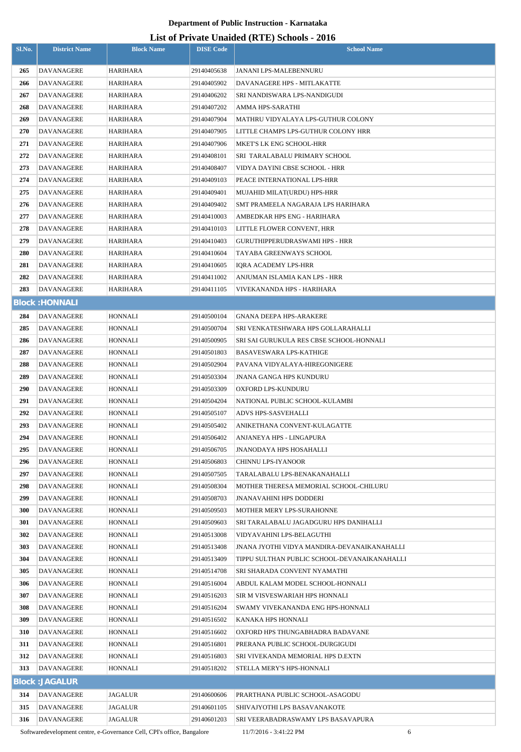| Sl.No.     | <b>District Name</b>            | <b>Block Name</b>                                                      | <b>DISE Code</b>           | $List$ of Trivally Unafully (IVIE) behoods - 2010<br><b>School Name</b>                     |
|------------|---------------------------------|------------------------------------------------------------------------|----------------------------|---------------------------------------------------------------------------------------------|
| 265        | <b>DAVANAGERE</b>               | <b>HARIHARA</b>                                                        | 29140405638                | JANANI LPS-MALEBENNURU                                                                      |
| 266        | DAVANAGERE                      | HARIHARA                                                               | 29140405902                | DAVANAGERE HPS - MITLAKATTE                                                                 |
| 267        | DAVANAGERE                      | HARIHARA                                                               | 29140406202                | SRI NANDISWARA LPS-NANDIGUDI                                                                |
| 268        | DAVANAGERE                      | HARIHARA                                                               | 29140407202                | AMMA HPS-SARATHI                                                                            |
| 269        | DAVANAGERE                      | <b>HARIHARA</b>                                                        | 29140407904                | MATHRU VIDYALAYA LPS-GUTHUR COLONY                                                          |
| 270        | DAVANAGERE                      | HARIHARA                                                               | 29140407905                | LITTLE CHAMPS LPS-GUTHUR COLONY HRR                                                         |
| 271        | DAVANAGERE                      | HARIHARA                                                               | 29140407906                | MKET'S LK ENG SCHOOL-HRR                                                                    |
| 272        | DAVANAGERE                      | HARIHARA                                                               | 29140408101                | SRI TARALABALU PRIMARY SCHOOL                                                               |
| 273        | DAVANAGERE                      | HARIHARA                                                               | 29140408407                | VIDYA DAYINI CBSE SCHOOL - HRR                                                              |
| 274        | DAVANAGERE                      | HARIHARA                                                               | 29140409103                | PEACE INTERNATIONAL LPS-HRR                                                                 |
| 275        | DAVANAGERE                      | HARIHARA                                                               | 29140409401                | MUJAHID MILAT(URDU) HPS-HRR                                                                 |
| 276        | DAVANAGERE                      | HARIHARA                                                               | 29140409402                | SMT PRAMEELA NAGARAJA LPS HARIHARA                                                          |
| 277        | DAVANAGERE                      | HARIHARA                                                               | 29140410003                | AMBEDKAR HPS ENG - HARIHARA                                                                 |
| 278        | DAVANAGERE                      | HARIHARA                                                               | 29140410103                | LITTLE FLOWER CONVENT, HRR                                                                  |
| 279        | DAVANAGERE                      | HARIHARA                                                               | 29140410403                | GURUTHIPPERUDRASWAMI HPS - HRR                                                              |
| 280        | DAVANAGERE                      | HARIHARA                                                               | 29140410604                | TAYABA GREENWAYS SCHOOL                                                                     |
| 281        | DAVANAGERE                      | HARIHARA                                                               | 29140410605                | IORA ACADEMY LPS-HRR                                                                        |
| 282        | DAVANAGERE                      | HARIHARA                                                               | 29140411002                | ANJUMAN ISLAMIA KAN LPS - HRR                                                               |
| 283        | DAVANAGERE                      | HARIHARA                                                               | 29140411105                | VIVEKANANDA HPS - HARIHARA                                                                  |
|            | <b>Block: HONNALI</b>           |                                                                        |                            |                                                                                             |
| 284        | DAVANAGERE                      | HONNALI                                                                | 29140500104                | <b>GNANA DEEPA HPS-ARAKERE</b>                                                              |
| 285        | DAVANAGERE                      | HONNALI                                                                | 29140500704                | SRI VENKATESHWARA HPS GOLLARAHALLI                                                          |
| 286        | <b>DAVANAGERE</b>               | HONNALI                                                                | 29140500905                | SRI SAI GURUKULA RES CBSE SCHOOL-HONNALI                                                    |
| 287        | DAVANAGERE                      | HONNALI                                                                | 29140501803                | BASAVESWARA LPS-KATHIGE                                                                     |
| 288        | DAVANAGERE                      | HONNALI                                                                | 29140502904                | PAVANA VIDYALAYA-HIREGONIGERE                                                               |
| 289        | DAVANAGERE                      | HONNALI                                                                | 29140503304                | <b>JNANA GANGA HPS KUNDURU</b>                                                              |
| 290        | <b>DAVANAGERE</b>               | <b>HONNALI</b>                                                         | 29140503309                | OXFORD LPS-KUNDURU                                                                          |
| 291        | DAVANAGERE                      | HONNALI                                                                | 29140504204                | NATIONAL PUBLIC SCHOOL-KULAMBI                                                              |
| 292        | DAVANAGERE                      | <b>HONNALI</b>                                                         | 29140505107                | ADVS HPS-SASVEHALLI                                                                         |
| 293        | DAVANAGERE                      | HONNALI                                                                | 29140505402                | ANIKETHANA CONVENT-KULAGATTE                                                                |
| 294        | DAVANAGERE                      | <b>HONNALI</b>                                                         | 29140506402                | ANJANEYA HPS - LINGAPURA                                                                    |
| 295        | DAVANAGERE                      | HONNALI                                                                | 29140506705                | JNANODAYA HPS HOSAHALLI                                                                     |
| 296        | <b>DAVANAGERE</b>               | <b>HONNALI</b>                                                         | 29140506803                | CHINNU LPS-IYANOOR                                                                          |
| 297        | DAVANAGERE                      | HONNALI                                                                | 29140507505                | TARALABALU LPS-BENAKANAHALLI                                                                |
| 298        | DAVANAGERE                      | <b>HONNALI</b>                                                         | 29140508304                | MOTHER THERESA MEMORIAL SCHOOL-CHILURU                                                      |
| 299        | DAVANAGERE                      | HONNALI                                                                | 29140508703                | <b>JNANAVAHINI HPS DODDERI</b>                                                              |
| 300        | <b>DAVANAGERE</b>               | HONNALI                                                                | 29140509503                | MOTHER MERY LPS-SURAHONNE                                                                   |
| 301        | DAVANAGERE                      | HONNALI                                                                | 29140509603                | SRI TARALABALU JAGADGURU HPS DANIHALLI                                                      |
| 302        | DAVANAGERE                      | HONNALI                                                                | 29140513008                | VIDYAVAHINI LPS-BELAGUTHI                                                                   |
| 303<br>304 | <b>DAVANAGERE</b><br>DAVANAGERE | HONNALI<br>HONNALI                                                     | 29140513408<br>29140513409 | JNANA JYOTHI VIDYA MANDIRA-DEVANAIKANAHALLI<br>TIPPU SULTHAN PUBLIC SCHOOL-DEVANAIKANAHALLI |
| 305        | DAVANAGERE                      | HONNALI                                                                | 29140514708                | SRI SHARADA CONVENT NYAMATHI                                                                |
| 306        | DAVANAGERE                      | HONNALI                                                                | 29140516004                | ABDUL KALAM MODEL SCHOOL-HONNALI                                                            |
| 307        | DAVANAGERE                      | <b>HONNALI</b>                                                         | 29140516203                | SIR M VISVESWARIAH HPS HONNALI                                                              |
| 308        | DAVANAGERE                      | HONNALI                                                                | 29140516204                | SWAMY VIVEKANANDA ENG HPS-HONNALI                                                           |
| 309        | DAVANAGERE                      | HONNALI                                                                | 29140516502                | KANAKA HPS HONNALI                                                                          |
| 310        | DAVANAGERE                      | HONNALI                                                                | 29140516602                | OXFORD HPS THUNGABHADRA BADAVANE                                                            |
| 311        | <b>DAVANAGERE</b>               | HONNALI                                                                | 29140516801                | PRERANA PUBLIC SCHOOL-DURGIGUDI                                                             |
| 312        | <b>DAVANAGERE</b>               | HONNALI                                                                | 29140516803                | SRI VIVEKANDA MEMORIAL HPS D.EXTN                                                           |
| 313        | <b>DAVANAGERE</b>               | <b>HONNALI</b>                                                         | 29140518202                | STELLA MERY'S HPS-HONNALI                                                                   |
|            | <b>Block: JAGALUR</b>           |                                                                        |                            |                                                                                             |
| 314        | DAVANAGERE                      | <b>JAGALUR</b>                                                         | 29140600606                | PRARTHANA PUBLIC SCHOOL-ASAGODU                                                             |
| 315        | DAVANAGERE                      | <b>JAGALUR</b>                                                         | 29140601105                | SHIVAJYOTHI LPS BASAVANAKOTE                                                                |
| 316        | <b>DAVANAGERE</b>               | JAGALUR                                                                | 29140601203                | SRI VEERABADRASWAMY LPS BASAVAPURA                                                          |
|            |                                 | Softwaredevelopment centre, e-Governance Cell, CPI's office, Bangalore |                            | 6<br>11/7/2016 - 3:41:22 PM                                                                 |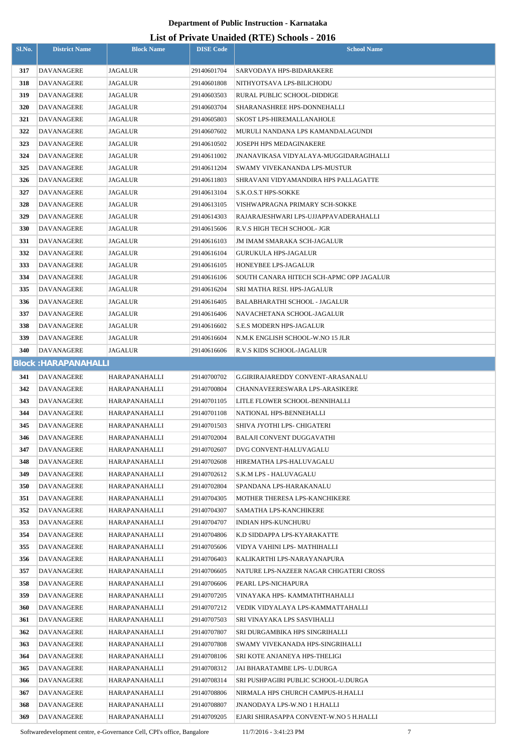## **List of Private Unaided (RTE) Schools - 2016**

| Sl.No.     | <b>District Name</b>        | <b>Block Name</b>    | <b>DISE Code</b> | $\text{List of I I1value}$ charged $(\text{NIE})$ behoofs $\text{-}2010$<br><b>School Name</b> |
|------------|-----------------------------|----------------------|------------------|------------------------------------------------------------------------------------------------|
|            |                             |                      |                  |                                                                                                |
| 317        | <b>DAVANAGERE</b>           | <b>JAGALUR</b>       | 29140601704      | SARVODAYA HPS-BIDARAKERE                                                                       |
| 318        | <b>DAVANAGERE</b>           | JAGALUR              | 29140601808      | NITHYOTSAVA LPS-BILICHODU                                                                      |
| 319        | DAVANAGERE                  | JAGALUR              | 29140603503      | RURAL PUBLIC SCHOOL-DIDDIGE                                                                    |
| 320        | DAVANAGERE                  | JAGALUR              | 29140603704      | SHARANASHREE HPS-DONNEHALLI                                                                    |
| 321        | DAVANAGERE                  | JAGALUR              | 29140605803      | SKOST LPS-HIREMALLANAHOLE                                                                      |
| 322        | DAVANAGERE                  | JAGALUR              | 29140607602      | MURULI NANDANA LPS KAMANDALAGUNDI                                                              |
| 323        | DAVANAGERE                  | JAGALUR              | 29140610502      | JOSEPH HPS MEDAGINAKERE                                                                        |
| 324        | DAVANAGERE                  | JAGALUR              | 29140611002      | JNANAVIKASA VIDYALAYA-MUGGIDARAGIHALLI                                                         |
| 325        | DAVANAGERE                  | JAGALUR              | 29140611204      | SWAMY VIVEKANANDA LPS-MUSTUR                                                                   |
| 326        | DAVANAGERE                  | JAGALUR              | 29140611803      | SHRAVANI VIDYAMANDIRA HPS PALLAGATTE                                                           |
| 327        | DAVANAGERE                  | JAGALUR              | 29140613104      | S.K.O.S.T HPS-SOKKE                                                                            |
| 328        | <b>DAVANAGERE</b>           | JAGALUR              | 29140613105      | VISHWAPRAGNA PRIMARY SCH-SOKKE                                                                 |
| 329        | <b>DAVANAGERE</b>           | JAGALUR              | 29140614303      | RAJARAJESHWARI LPS-UJJAPPAVADERAHALLI                                                          |
| <b>330</b> | DAVANAGERE                  | JAGALUR              | 29140615606      | R.V.S HIGH TECH SCHOOL- JGR                                                                    |
| 331        | DAVANAGERE                  | JAGALUR              | 29140616103      | JM IMAM SMARAKA SCH-JAGALUR                                                                    |
| 332        | DAVANAGERE                  | JAGALUR              | 29140616104      | <b>GURUKULA HPS-JAGALUR</b>                                                                    |
| 333        | <b>DAVANAGERE</b>           | JAGALUR              | 29140616105      | HONEYBEE LPS-JAGALUR                                                                           |
| 334        | DAVANAGERE                  | JAGALUR              | 29140616106      | SOUTH CANARA HITECH SCH-APMC OPP JAGALUR                                                       |
| 335        | DAVANAGERE                  | JAGALUR              | 29140616204      | SRI MATHA RESI. HPS-JAGALUR                                                                    |
| 336        | DAVANAGERE                  | JAGALUR              | 29140616405      | BALABHARATHI SCHOOL - JAGALUR                                                                  |
| 337        | DAVANAGERE                  | JAGALUR              | 29140616406      | NAVACHETANA SCHOOL-JAGALUR                                                                     |
| 338        | DAVANAGERE                  | JAGALUR              | 29140616602      | S.E.S MODERN HPS-JAGALUR                                                                       |
| 339        | DAVANAGERE                  | JAGALUR              | 29140616604      | N.M.K ENGLISH SCHOOL-W.NO 15 JLR                                                               |
| 340        | <b>DAVANAGERE</b>           | JAGALUR              | 29140616606      | R.V.S KIDS SCHOOL-JAGALUR                                                                      |
|            | <b>Block: HARAPANAHALLI</b> |                      |                  |                                                                                                |
| 341        | DAVANAGERE                  | HARAPANAHALLI        | 29140700702      | G.GIRIRAJAREDDY CONVENT-ARASANALU                                                              |
| 342        | <b>DAVANAGERE</b>           | <b>HARAPANAHALLI</b> | 29140700804      | <b>CHANNAVEERESWARA LPS-ARASIKERE</b>                                                          |
| 343        | <b>DAVANAGERE</b>           | HARAPANAHALLI        | 29140701105      | LITLE FLOWER SCHOOL-BENNIHALLI                                                                 |
| 344        | <b>DAVANAGERE</b>           | HARAPANAHALLI        | 29140701108      | NATIONAL HPS-BENNEHALLI                                                                        |
| 345        | <b>DAVANAGERE</b>           | HARAPANAHALLI        | 29140701503      | SHIVA JYOTHI LPS- CHIGATERI                                                                    |
| 346        | DAVANAGERE                  | HARAPANAHALLI        | 29140702004      | <b>BALAJI CONVENT DUGGAVATHI</b>                                                               |
| 347        | DAVANAGERE                  | HARAPANAHALLI        | 29140702607      | DVG CONVENT-HALUVAGALU                                                                         |
| 348        | <b>DAVANAGERE</b>           | HARAPANAHALLI        | 29140702608      | HIREMATHA LPS-HALUVAGALU                                                                       |
| 349        | DAVANAGERE                  | HARAPANAHALLI        | 29140702612      | <b>S.K.M LPS - HALUVAGALU</b>                                                                  |
| 350        | DAVANAGERE                  | HARAPANAHALLI        | 29140702804      | SPANDANA LPS-HARAKANALU                                                                        |
| 351        | DAVANAGERE                  | HARAPANAHALLI        | 29140704305      | MOTHER THERESA LPS-KANCHIKERE                                                                  |
| 352        | <b>DAVANAGERE</b>           | HARAPANAHALLI        | 29140704307      | SAMATHA LPS-KANCHIKERE                                                                         |
| 353        | DAVANAGERE                  | HARAPANAHALLI        | 29140704707      | INDIAN HPS-KUNCHURU                                                                            |
| 354        | DAVANAGERE                  | HARAPANAHALLI        | 29140704806      | K.D SIDDAPPA LPS-KYARAKATTE                                                                    |
| 355        | <b>DAVANAGERE</b>           | HARAPANAHALLI        | 29140705606      | VIDYA VAHINI LPS- MATHIHALLI                                                                   |
| 356        | <b>DAVANAGERE</b>           | HARAPANAHALLI        | 29140706403      | KALIKARTHI LPS-NARAYANAPURA                                                                    |
| 357        | DAVANAGERE                  | HARAPANAHALLI        | 29140706605      | NATURE LPS-NAZEER NAGAR CHIGATERI CROSS                                                        |
| 358        | DAVANAGERE                  | HARAPANAHALLI        | 29140706606      | PEARL LPS-NICHAPURA                                                                            |
| 359        | <b>DAVANAGERE</b>           | HARAPANAHALLI        | 29140707205      | VINAYAKA HPS- KAMMATHTHAHALLI                                                                  |
| <b>360</b> | DAVANAGERE                  | HARAPANAHALLI        | 29140707212      | VEDIK VIDYALAYA LPS-KAMMATTAHALLI                                                              |
| 361        | DAVANAGERE                  | HARAPANAHALLI        | 29140707503      | SRI VINAYAKA LPS SASVIHALLI                                                                    |
| 362        | DAVANAGERE                  | HARAPANAHALLI        | 29140707807      | SRI DURGAMBIKA HPS SINGRIHALLI                                                                 |
| 363        | <b>DAVANAGERE</b>           | HARAPANAHALLI        | 29140707808      | SWAMY VIVEKANADA HPS-SINGRIHALLI                                                               |
| 364        | <b>DAVANAGERE</b>           | HARAPANAHALLI        | 29140708106      | SRI KOTE ANJANEYA HPS-THELIGI                                                                  |
| 365        | <b>DAVANAGERE</b>           | HARAPANAHALLI        | 29140708312      | JAI BHARATAMBE LPS- U.DURGA                                                                    |
| 366        | <b>DAVANAGERE</b>           | HARAPANAHALLI        | 29140708314      | SRI PUSHPAGIRI PUBLIC SCHOOL-U.DURGA                                                           |
| 367        | <b>DAVANAGERE</b>           | <b>HARAPANAHALLI</b> | 29140708806      | NIRMALA HPS CHURCH CAMPUS-H.HALLI                                                              |
| 368        | DAVANAGERE                  | HARAPANAHALLI        | 29140708807      | JNANODAYA LPS-W.NO 1 H.HALLI                                                                   |
| 369        | DAVANAGERE                  | HARAPANAHALLI        | 29140709205      | EJARI SHIRASAPPA CONVENT-W.NO 5 H.HALLI                                                        |

Softwaredevelopment centre, e-Governance Cell, CPI's office, Bangalore 11/7/2016 - 3:41:23 PM 7